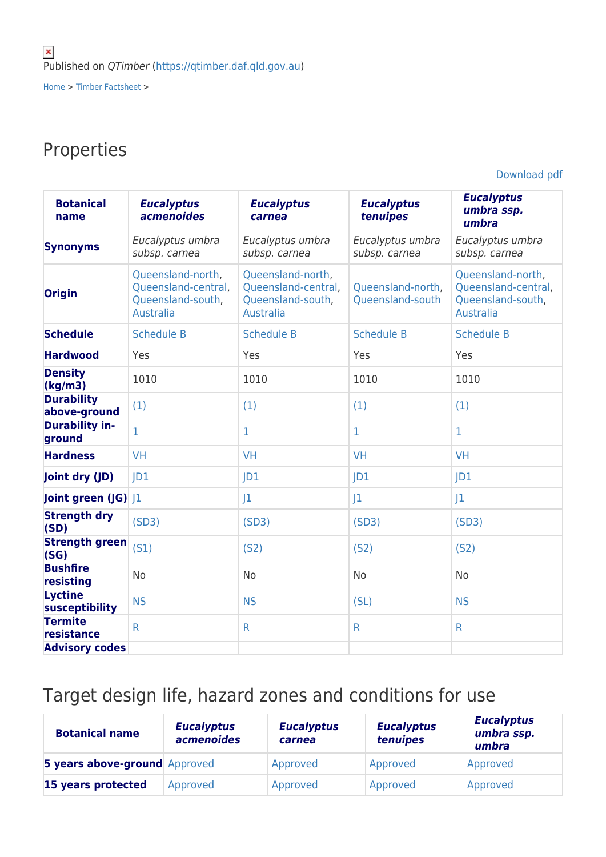Properties

[Download pdf](https://qtimber.daf.qld.gov.au/printpdf/timber-factsheet/mahogany, white)

| <b>Botanical</b><br>name          | <b>Eucalyptus</b><br><i>acmenoides</i>                                            | <b>Eucalyptus</b><br>carnea                                                       | <b>Eucalyptus</b><br>tenuipes         | <b>Eucalyptus</b><br>umbra ssp.<br>umbra                                          |
|-----------------------------------|-----------------------------------------------------------------------------------|-----------------------------------------------------------------------------------|---------------------------------------|-----------------------------------------------------------------------------------|
| <b>Synonyms</b>                   | Eucalyptus umbra<br>subsp. carnea                                                 | Eucalyptus umbra<br>subsp. carnea                                                 | Eucalyptus umbra<br>subsp. carnea     | Eucalyptus umbra<br>subsp. carnea                                                 |
| <b>Origin</b>                     | Queensland-north,<br>Queensland-central,<br>Queensland-south,<br><b>Australia</b> | Queensland-north,<br>Queensland-central,<br>Queensland-south,<br><b>Australia</b> | Queensland-north,<br>Queensland-south | Queensland-north,<br>Queensland-central,<br>Queensland-south,<br><b>Australia</b> |
| <b>Schedule</b>                   | <b>Schedule B</b>                                                                 | <b>Schedule B</b>                                                                 | <b>Schedule B</b>                     | <b>Schedule B</b>                                                                 |
| <b>Hardwood</b>                   | Yes                                                                               | Yes                                                                               | Yes                                   | Yes                                                                               |
| <b>Density</b><br>(kg/m3)         | 1010                                                                              | 1010                                                                              | 1010                                  | 1010                                                                              |
| <b>Durability</b><br>above-ground | (1)                                                                               | (1)                                                                               | (1)                                   | (1)                                                                               |
| <b>Durability in-</b><br>ground   | $\mathbf{1}$                                                                      | $\mathbf{1}$                                                                      | $\mathbf{1}$                          | $\mathbf{1}$                                                                      |
| <b>Hardness</b>                   | <b>VH</b>                                                                         | <b>VH</b>                                                                         | VH                                    | <b>VH</b>                                                                         |
| Joint dry (JD)                    | D1                                                                                | D1                                                                                | D1                                    | D1                                                                                |
| Joint green (JG) J1               |                                                                                   | J <sub>1</sub>                                                                    | 1                                     | J1                                                                                |
| <b>Strength dry</b><br>(SD)       | (SD3)                                                                             | (SD3)                                                                             | (SD3)                                 | (SD3)                                                                             |
| <b>Strength green</b><br>(SG)     | (S1)                                                                              | (S <sub>2</sub> )                                                                 | (S <sub>2</sub> )                     | (S <sub>2</sub> )                                                                 |
| <b>Bushfire</b><br>resisting      | <b>No</b>                                                                         | <b>No</b>                                                                         | <b>No</b>                             | <b>No</b>                                                                         |
| <b>Lyctine</b><br>susceptibility  | <b>NS</b>                                                                         | <b>NS</b>                                                                         | (SL)                                  | <b>NS</b>                                                                         |
| <b>Termite</b><br>resistance      | $\mathsf{R}$                                                                      | R                                                                                 | $\mathsf{R}$                          | $\mathsf{R}$                                                                      |
| <b>Advisory codes</b>             |                                                                                   |                                                                                   |                                       |                                                                                   |

## Target design life, hazard zones and conditions for use

| <b>Botanical name</b>         | <b>Eucalyptus</b><br>acmenoides | <b>Eucalyptus</b><br>carnea | <b>Eucalyptus</b><br>tenuipes | <b>Eucalyptus</b><br>umbra ssp.<br>umbra |
|-------------------------------|---------------------------------|-----------------------------|-------------------------------|------------------------------------------|
| 5 years above-ground Approved |                                 | Approved                    | Approved                      | Approved                                 |
| 15 years protected            | Approved                        | Approved                    | Approved                      | Approved                                 |